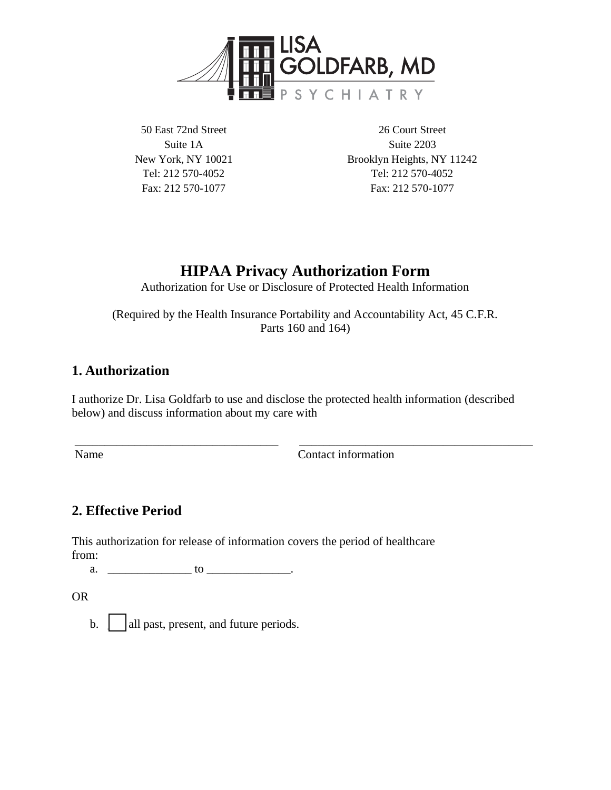

50 East 72nd Street Suite 1A New York, NY 10021 Tel: 212 570-4052 Fax: 212 570-1077

26 Court Street Suite 2203 Brooklyn Heights, NY 11242 Tel: 212 570-4052 Fax: 212 570-1077

# **HIPAA Privacy Authorization Form**

Authorization for Use or Disclosure of Protected Health Information

(Required by the Health Insurance Portability and Accountability Act, 45 C.F.R. Parts 160 and 164)

## **1. Authorization**

I authorize Dr. Lisa Goldfarb to use and disclose the protected health information (described below) and discuss information about my care with

\_\_\_\_\_\_\_\_\_\_\_\_\_\_\_\_\_\_\_\_\_\_\_\_\_\_\_\_\_\_\_\_\_\_ \_\_\_\_\_\_\_\_\_\_\_\_\_\_\_\_\_\_\_\_\_\_\_\_\_\_\_\_\_\_\_\_\_\_\_\_\_\_\_

Name Contact information

# **2. Effective Period**

This authorization for release of information covers the period of healthcare from:

a.  $\qquad \qquad$  to  $\qquad \qquad$  to  $\qquad \qquad$ .

OR

b.  $\parallel$  all past, present, and future periods.